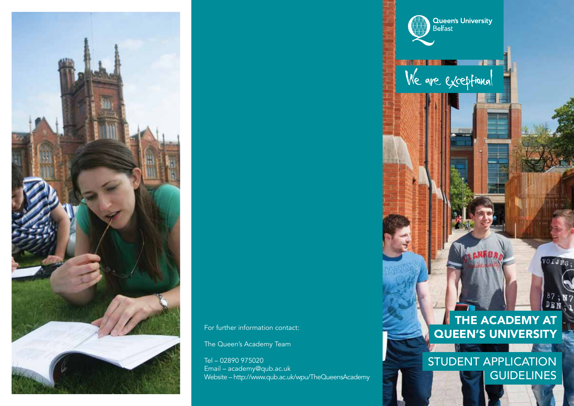

For further information contact:

The Queen's Academy Team

Tel – 02890 975020 Email – academy@qub.ac.uk Website – http://www.qub.ac.uk/wpu/TheQueensAcademy

The Academy at QUEEN'S UNIVERSITY  $33$ 

VOIJNS;

Queen's University<br>Belfast

We are exceptional

**KWW** 

STUDENT APPLICATION **GUIDELINES**